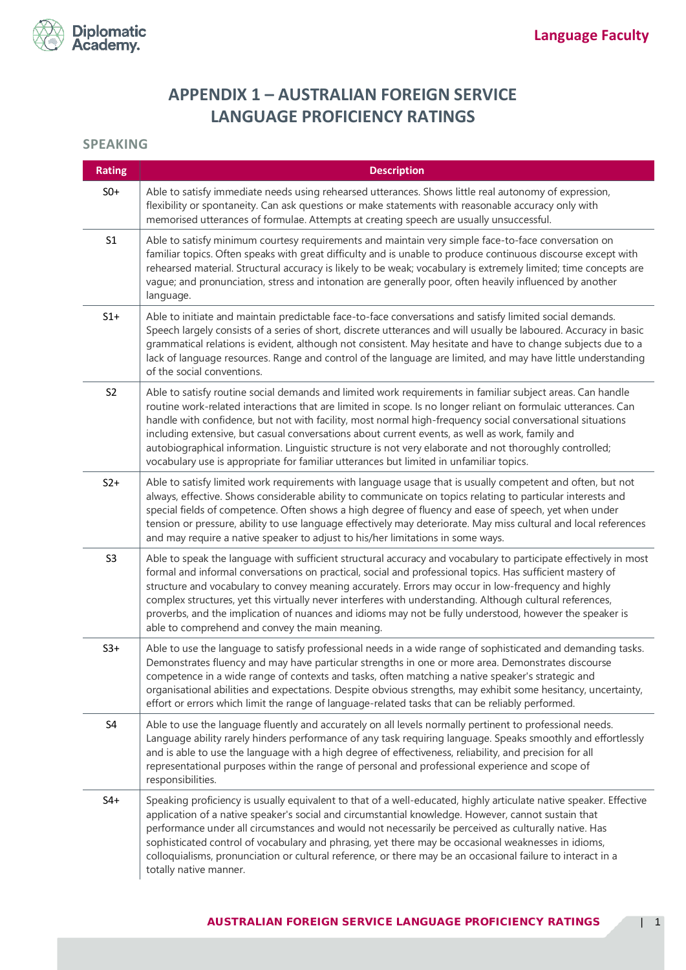

## **APPENDIX 1 – AUSTRALIAN FOREIGN SERVICE LANGUAGE PROFICIENCY RATINGS**

## **SPEAKING**

| <b>Rating</b>  | <b>Description</b>                                                                                                                                                                                                                                                                                                                                                                                                                                                                                                                                                                                                                                  |
|----------------|-----------------------------------------------------------------------------------------------------------------------------------------------------------------------------------------------------------------------------------------------------------------------------------------------------------------------------------------------------------------------------------------------------------------------------------------------------------------------------------------------------------------------------------------------------------------------------------------------------------------------------------------------------|
| $S0+$          | Able to satisfy immediate needs using rehearsed utterances. Shows little real autonomy of expression,<br>flexibility or spontaneity. Can ask questions or make statements with reasonable accuracy only with<br>memorised utterances of formulae. Attempts at creating speech are usually unsuccessful.                                                                                                                                                                                                                                                                                                                                             |
| S <sub>1</sub> | Able to satisfy minimum courtesy requirements and maintain very simple face-to-face conversation on<br>familiar topics. Often speaks with great difficulty and is unable to produce continuous discourse except with<br>rehearsed material. Structural accuracy is likely to be weak; vocabulary is extremely limited; time concepts are<br>vague; and pronunciation, stress and intonation are generally poor, often heavily influenced by another<br>language.                                                                                                                                                                                    |
| $S1+$          | Able to initiate and maintain predictable face-to-face conversations and satisfy limited social demands.<br>Speech largely consists of a series of short, discrete utterances and will usually be laboured. Accuracy in basic<br>grammatical relations is evident, although not consistent. May hesitate and have to change subjects due to a<br>lack of language resources. Range and control of the language are limited, and may have little understanding<br>of the social conventions.                                                                                                                                                         |
| S <sub>2</sub> | Able to satisfy routine social demands and limited work requirements in familiar subject areas. Can handle<br>routine work-related interactions that are limited in scope. Is no longer reliant on formulaic utterances. Can<br>handle with confidence, but not with facility, most normal high-frequency social conversational situations<br>including extensive, but casual conversations about current events, as well as work, family and<br>autobiographical information. Linguistic structure is not very elaborate and not thoroughly controlled;<br>vocabulary use is appropriate for familiar utterances but limited in unfamiliar topics. |
| $S2+$          | Able to satisfy limited work requirements with language usage that is usually competent and often, but not<br>always, effective. Shows considerable ability to communicate on topics relating to particular interests and<br>special fields of competence. Often shows a high degree of fluency and ease of speech, yet when under<br>tension or pressure, ability to use language effectively may deteriorate. May miss cultural and local references<br>and may require a native speaker to adjust to his/her limitations in some ways.                                                                                                           |
| S <sub>3</sub> | Able to speak the language with sufficient structural accuracy and vocabulary to participate effectively in most<br>formal and informal conversations on practical, social and professional topics. Has sufficient mastery of<br>structure and vocabulary to convey meaning accurately. Errors may occur in low-frequency and highly<br>complex structures, yet this virtually never interferes with understanding. Although cultural references,<br>proverbs, and the implication of nuances and idioms may not be fully understood, however the speaker is<br>able to comprehend and convey the main meaning.                                     |
| $S3+$          | Able to use the language to satisfy professional needs in a wide range of sophisticated and demanding tasks.<br>Demonstrates fluency and may have particular strengths in one or more area. Demonstrates discourse<br>competence in a wide range of contexts and tasks, often matching a native speaker's strategic and<br>organisational abilities and expectations. Despite obvious strengths, may exhibit some hesitancy, uncertainty,<br>effort or errors which limit the range of language-related tasks that can be reliably performed.                                                                                                       |
| S4             | Able to use the language fluently and accurately on all levels normally pertinent to professional needs.<br>Language ability rarely hinders performance of any task requiring language. Speaks smoothly and effortlessly<br>and is able to use the language with a high degree of effectiveness, reliability, and precision for all<br>representational purposes within the range of personal and professional experience and scope of<br>responsibilities.                                                                                                                                                                                         |
| $S4+$          | Speaking proficiency is usually equivalent to that of a well-educated, highly articulate native speaker. Effective<br>application of a native speaker's social and circumstantial knowledge. However, cannot sustain that<br>performance under all circumstances and would not necessarily be perceived as culturally native. Has<br>sophisticated control of vocabulary and phrasing, yet there may be occasional weaknesses in idioms,<br>colloquialisms, pronunciation or cultural reference, or there may be an occasional failure to interact in a<br>totally native manner.                                                                   |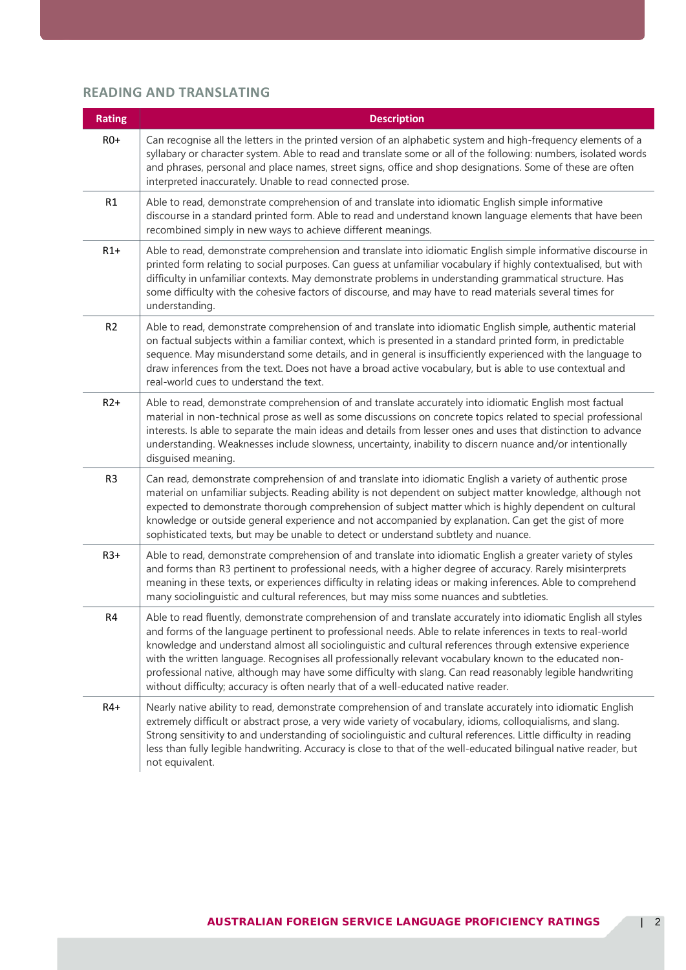## **READING AND TRANSLATING**

| <b>Rating</b>  | <b>Description</b>                                                                                                                                                                                                                                                                                                                                                                                                                                                                                                                                                                                                                                        |
|----------------|-----------------------------------------------------------------------------------------------------------------------------------------------------------------------------------------------------------------------------------------------------------------------------------------------------------------------------------------------------------------------------------------------------------------------------------------------------------------------------------------------------------------------------------------------------------------------------------------------------------------------------------------------------------|
| $RO+$          | Can recognise all the letters in the printed version of an alphabetic system and high-frequency elements of a<br>syllabary or character system. Able to read and translate some or all of the following: numbers, isolated words<br>and phrases, personal and place names, street signs, office and shop designations. Some of these are often<br>interpreted inaccurately. Unable to read connected prose.                                                                                                                                                                                                                                               |
| R1             | Able to read, demonstrate comprehension of and translate into idiomatic English simple informative<br>discourse in a standard printed form. Able to read and understand known language elements that have been<br>recombined simply in new ways to achieve different meanings.                                                                                                                                                                                                                                                                                                                                                                            |
| $R1+$          | Able to read, demonstrate comprehension and translate into idiomatic English simple informative discourse in<br>printed form relating to social purposes. Can guess at unfamiliar vocabulary if highly contextualised, but with<br>difficulty in unfamiliar contexts. May demonstrate problems in understanding grammatical structure. Has<br>some difficulty with the cohesive factors of discourse, and may have to read materials several times for<br>understanding.                                                                                                                                                                                  |
| R <sub>2</sub> | Able to read, demonstrate comprehension of and translate into idiomatic English simple, authentic material<br>on factual subjects within a familiar context, which is presented in a standard printed form, in predictable<br>sequence. May misunderstand some details, and in general is insufficiently experienced with the language to<br>draw inferences from the text. Does not have a broad active vocabulary, but is able to use contextual and<br>real-world cues to understand the text.                                                                                                                                                         |
| $R2+$          | Able to read, demonstrate comprehension of and translate accurately into idiomatic English most factual<br>material in non-technical prose as well as some discussions on concrete topics related to special professional<br>interests. Is able to separate the main ideas and details from lesser ones and uses that distinction to advance<br>understanding. Weaknesses include slowness, uncertainty, inability to discern nuance and/or intentionally<br>disguised meaning.                                                                                                                                                                           |
| R <sub>3</sub> | Can read, demonstrate comprehension of and translate into idiomatic English a variety of authentic prose<br>material on unfamiliar subjects. Reading ability is not dependent on subject matter knowledge, although not<br>expected to demonstrate thorough comprehension of subject matter which is highly dependent on cultural<br>knowledge or outside general experience and not accompanied by explanation. Can get the gist of more<br>sophisticated texts, but may be unable to detect or understand subtlety and nuance.                                                                                                                          |
| $R3+$          | Able to read, demonstrate comprehension of and translate into idiomatic English a greater variety of styles<br>and forms than R3 pertinent to professional needs, with a higher degree of accuracy. Rarely misinterprets<br>meaning in these texts, or experiences difficulty in relating ideas or making inferences. Able to comprehend<br>many sociolinguistic and cultural references, but may miss some nuances and subtleties.                                                                                                                                                                                                                       |
| R4             | Able to read fluently, demonstrate comprehension of and translate accurately into idiomatic English all styles<br>and forms of the language pertinent to professional needs. Able to relate inferences in texts to real-world<br>knowledge and understand almost all sociolinguistic and cultural references through extensive experience<br>with the written language. Recognises all professionally relevant vocabulary known to the educated non-<br>professional native, although may have some difficulty with slang. Can read reasonably legible handwriting<br>without difficulty; accuracy is often nearly that of a well-educated native reader. |
| $R4+$          | Nearly native ability to read, demonstrate comprehension of and translate accurately into idiomatic English<br>extremely difficult or abstract prose, a very wide variety of vocabulary, idioms, colloquialisms, and slang.<br>Strong sensitivity to and understanding of sociolinguistic and cultural references. Little difficulty in reading<br>less than fully legible handwriting. Accuracy is close to that of the well-educated bilingual native reader, but<br>not equivalent.                                                                                                                                                                    |